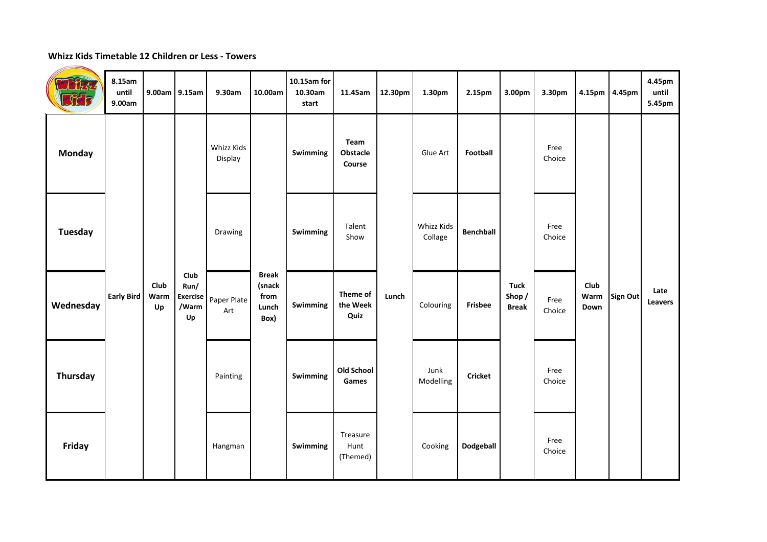## **Whizz Kids Timetable 12 Children or Less - Towers**

| $\int_{\mathbb{Z}}$<br><b>REB</b> | 8.15am<br>until<br>9.00am | 9.00am 9.15am      |                                                | 9.30am                | 10.00am                                         | 10.15am for<br>10.30am<br>start | 11.45am                      | 12.30pm | 1.30pm                | 2.15pm           | 3.00pm                               | 3.30pm         |                      | 4.15pm 4.45pm   | 4.45pm<br>until<br>5.45pm |
|-----------------------------------|---------------------------|--------------------|------------------------------------------------|-----------------------|-------------------------------------------------|---------------------------------|------------------------------|---------|-----------------------|------------------|--------------------------------------|----------------|----------------------|-----------------|---------------------------|
| <b>Monday</b>                     | Early Bird                | Club<br>Warm<br>Up | Club<br>Run/<br><b>Exercise</b><br>/Warm<br>Up | Whizz Kids<br>Display | <b>Break</b><br>(snack<br>from<br>Lunch<br>Box) | Swimming                        | Team<br>Obstacle<br>Course   | Lunch   | Glue Art              | Football         | <b>Tuck</b><br>Shop/<br><b>Break</b> | Free<br>Choice | Club<br>Warm<br>Down | <b>Sign Out</b> | Late<br>Leavers           |
| <b>Tuesday</b>                    |                           |                    |                                                | Drawing               |                                                 | Swimming                        | Talent<br>Show               |         | Whizz Kids<br>Collage | <b>Benchball</b> |                                      | Free<br>Choice |                      |                 |                           |
| Wednesday                         |                           |                    |                                                | Paper Plate<br>Art    |                                                 | Swimming                        | Theme of<br>the Week<br>Quiz |         | Colouring             | Frisbee          |                                      | Free<br>Choice |                      |                 |                           |
| <b>Thursday</b>                   |                           |                    |                                                | Painting              |                                                 | Swimming                        | Old School<br>Games          |         | Junk<br>Modelling     | <b>Cricket</b>   |                                      | Free<br>Choice |                      |                 |                           |
| Friday                            |                           |                    |                                                | Hangman               |                                                 | Swimming                        | Treasure<br>Hunt<br>(Themed) |         | Cooking               | Dodgeball        |                                      | Free<br>Choice |                      |                 |                           |